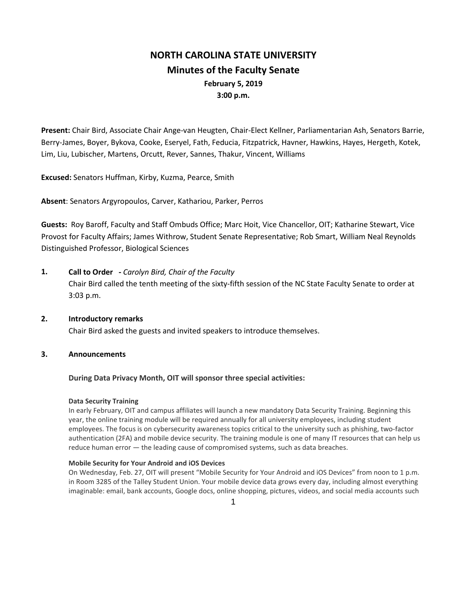# **NORTH CAROLINA STATE UNIVERSITY Minutes of the Faculty Senate February 5, 2019 3:00 p.m.**

**Present:** Chair Bird, Associate Chair Ange-van Heugten, Chair-Elect Kellner, Parliamentarian Ash, Senators Barrie, Berry-James, Boyer, Bykova, Cooke, Eseryel, Fath, Feducia, Fitzpatrick, Havner, Hawkins, Hayes, Hergeth, Kotek, Lim, Liu, Lubischer, Martens, Orcutt, Rever, Sannes, Thakur, Vincent, Williams

**Excused:** Senators Huffman, Kirby, Kuzma, Pearce, Smith

**Absent**: Senators Argyropoulos, Carver, Kathariou, Parker, Perros

**Guests:** Roy Baroff, Faculty and Staff Ombuds Office; Marc Hoit, Vice Chancellor, OIT; Katharine Stewart, Vice Provost for Faculty Affairs; James Withrow, Student Senate Representative; Rob Smart, William Neal Reynolds Distinguished Professor, Biological Sciences

**1. Call to Order -** *Carolyn Bird, Chair of the Faculty*

Chair Bird called the tenth meeting of the sixty-fifth session of the NC State Faculty Senate to order at 3:03 p.m.

**2. Introductory remarks** Chair Bird asked the guests and invited speakers to introduce themselves.

### **3. Announcements**

### **During Data Privacy Month, OIT will sponsor three special activities:**

### **Data Security Training**

In early February, OIT and campus affiliates will launch a new mandatory Data Security Training. Beginning this year, the online training module will be required annually for all university employees, including student employees. The focus is on cybersecurity awareness topics critical to the university such as phishing, two-factor authentication (2FA) and mobile device security. The training module is one of many IT resources that can help us reduce human error — the leading cause of compromised systems, such as data breaches.

### **Mobile Security for Your Android and iOS Devices**

On Wednesday, Feb. 27, OIT will present "Mobile Security for Your Android and iOS Devices" from noon to 1 p.m. in Room 3285 of the Talley Student Union. Your mobile device data grows every day, including almost everything imaginable: email, bank accounts, Google docs, online shopping, pictures, videos, and social media accounts such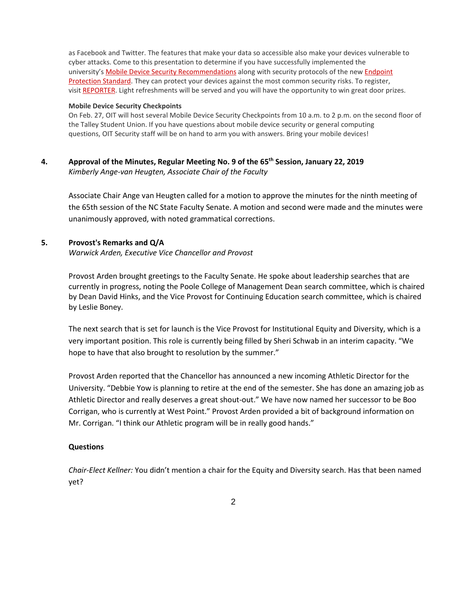as Facebook and Twitter. The features that make your data so accessible also make your devices vulnerable to cyber attacks. Come to this presentation to determine if you have successfully implemented the university's [Mobile Device Security Recommendations](https://oit.ncsu.edu/it-security/mobile) along with security protocols of the new *Endpoint* [Protection Standard.](https://policies.ncsu.edu/rule/rul-08-00-18) They can protect your devices against the most common security risks. To register, visit [REPORTER.](https://reporter.ncsu.edu/link/courseview?courseID=OIT-Mobile-Security&deptName=OIT) Light refreshments will be served and you will have the opportunity to win great door prizes.

#### **Mobile Device Security Checkpoints**

On Feb. 27, OIT will host several Mobile Device Security Checkpoints from 10 a.m. to 2 p.m. on the second floor of the Talley Student Union. If you have questions about mobile device security or general computing questions, OIT Security staff will be on hand to arm you with answers. Bring your mobile devices!

### **4. Approval of the Minutes, Regular Meeting No. 9 of the 65th Session, January 22, 2019** *Kimberly Ange-van Heugten, Associate Chair of the Faculty*

Associate Chair Ange van Heugten called for a motion to approve the minutes for the ninth meeting of the 65th session of the NC State Faculty Senate. A motion and second were made and the minutes were unanimously approved, with noted grammatical corrections.

### **5. Provost's Remarks and Q/A**

*Warwick Arden, Executive Vice Chancellor and Provost*

Provost Arden brought greetings to the Faculty Senate. He spoke about leadership searches that are currently in progress, noting the Poole College of Management Dean search committee, which is chaired by Dean David Hinks, and the Vice Provost for Continuing Education search committee, which is chaired by Leslie Boney.

The next search that is set for launch is the Vice Provost for Institutional Equity and Diversity, which is a very important position. This role is currently being filled by Sheri Schwab in an interim capacity. "We hope to have that also brought to resolution by the summer."

Provost Arden reported that the Chancellor has announced a new incoming Athletic Director for the University. "Debbie Yow is planning to retire at the end of the semester. She has done an amazing job as Athletic Director and really deserves a great shout-out." We have now named her successor to be Boo Corrigan, who is currently at West Point." Provost Arden provided a bit of background information on Mr. Corrigan. "I think our Athletic program will be in really good hands."

### **Questions**

*Chair-Elect Kellner:* You didn't mention a chair for the Equity and Diversity search. Has that been named yet?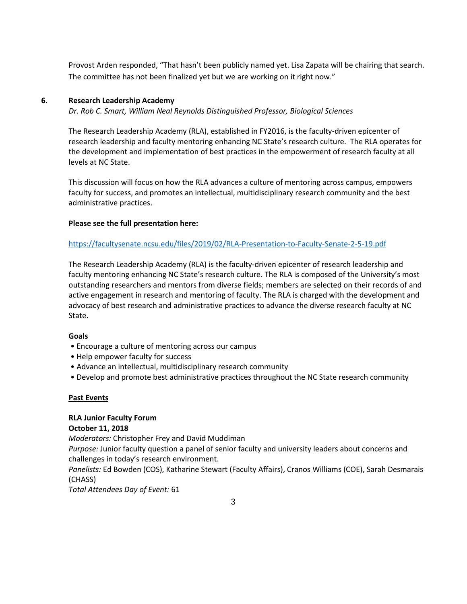Provost Arden responded, "That hasn't been publicly named yet. Lisa Zapata will be chairing that search. The committee has not been finalized yet but we are working on it right now."

### **6. Research Leadership Academy**

*Dr. Rob C. Smart, William Neal Reynolds Distinguished Professor, Biological Sciences*

The Research Leadership Academy (RLA), established in FY2016, is the faculty-driven epicenter of research leadership and faculty mentoring enhancing NC State's research culture. The RLA operates for the development and implementation of best practices in the empowerment of research faculty at all levels at NC State.

This discussion will focus on how the RLA advances a culture of mentoring across campus, empowers faculty for success, and promotes an intellectual, multidisciplinary research community and the best administrative practices.

### **Please see the full presentation here:**

### <https://facultysenate.ncsu.edu/files/2019/02/RLA-Presentation-to-Faculty-Senate-2-5-19.pdf>

The Research Leadership Academy (RLA) is the faculty-driven epicenter of research leadership and faculty mentoring enhancing NC State's research culture. The RLA is composed of the University's most outstanding researchers and mentors from diverse fields; members are selected on their records of and active engagement in research and mentoring of faculty. The RLA is charged with the development and advocacy of best research and administrative practices to advance the diverse research faculty at NC State.

### **Goals**

- Encourage a culture of mentoring across our campus
- Help empower faculty for success
- Advance an intellectual, multidisciplinary research community
- Develop and promote best administrative practices throughout the NC State research community

### **Past Events**

### **RLA Junior Faculty Forum October 11, 2018**

*Moderators:* Christopher Frey and David Muddiman

*Purpose:* Junior faculty question a panel of senior faculty and university leaders about concerns and challenges in today's research environment.

*Panelists:* Ed Bowden (COS), Katharine Stewart (Faculty Affairs), Cranos Williams (COE), Sarah Desmarais (CHASS)

*Total Attendees Day of Event:* 61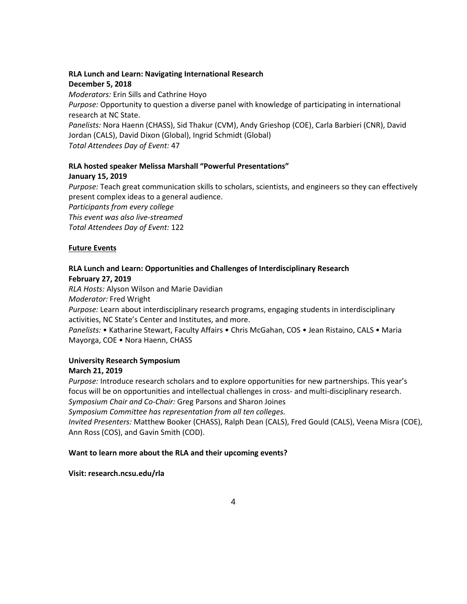# **RLA Lunch and Learn: Navigating International Research**

### **December 5, 2018**

*Moderators:* Erin Sills and Cathrine Hoyo

*Purpose:* Opportunity to question a diverse panel with knowledge of participating in international research at NC State.

*Panelists:* Nora Haenn (CHASS), Sid Thakur (CVM), Andy Grieshop (COE), Carla Barbieri (CNR), David Jordan (CALS), David Dixon (Global), Ingrid Schmidt (Global)

*Total Attendees Day of Event:* 47

# **RLA hosted speaker Melissa Marshall "Powerful Presentations"**

# **January 15, 2019**

*Purpose:* Teach great communication skills to scholars, scientists, and engineers so they can effectively present complex ideas to a general audience.

*Participants from every college This event was also live-streamed Total Attendees Day of Event:* 122

# **Future Events**

### **RLA Lunch and Learn: Opportunities and Challenges of Interdisciplinary Research February 27, 2019**

*RLA Hosts:* Alyson Wilson and Marie Davidian

*Moderator:* Fred Wright

*Purpose:* Learn about interdisciplinary research programs, engaging students in interdisciplinary activities, NC State's Center and Institutes, and more.

*Panelists:* • Katharine Stewart, Faculty Affairs • Chris McGahan, COS • Jean Ristaino, CALS • Maria Mayorga, COE • Nora Haenn, CHASS

# **University Research Symposium**

# **March 21, 2019**

*Purpose:* Introduce research scholars and to explore opportunities for new partnerships. This year's focus will be on opportunities and intellectual challenges in cross- and multi-disciplinary research. *Symposium Chair and Co-Chair:* Greg Parsons and Sharon Joines

*Symposium Committee has representation from all ten colleges.* 

*Invited Presenters:* Matthew Booker (CHASS), Ralph Dean (CALS), Fred Gould (CALS), Veena Misra (COE), Ann Ross (COS), and Gavin Smith (COD).

# **Want to learn more about the RLA and their upcoming events?**

**Visit: research.ncsu.edu/rla**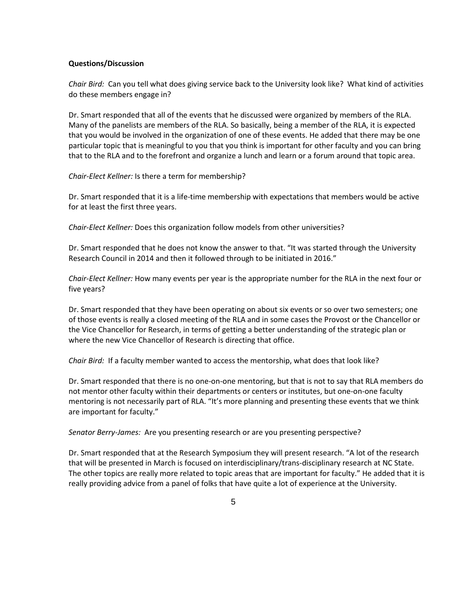### **Questions/Discussion**

*Chair Bird:* Can you tell what does giving service back to the University look like? What kind of activities do these members engage in?

Dr. Smart responded that all of the events that he discussed were organized by members of the RLA. Many of the panelists are members of the RLA. So basically, being a member of the RLA, it is expected that you would be involved in the organization of one of these events. He added that there may be one particular topic that is meaningful to you that you think is important for other faculty and you can bring that to the RLA and to the forefront and organize a lunch and learn or a forum around that topic area.

*Chair-Elect Kellner:* Is there a term for membership?

Dr. Smart responded that it is a life-time membership with expectations that members would be active for at least the first three years.

*Chair-Elect Kellner:* Does this organization follow models from other universities?

Dr. Smart responded that he does not know the answer to that. "It was started through the University Research Council in 2014 and then it followed through to be initiated in 2016."

*Chair-Elect Kellner:* How many events per year is the appropriate number for the RLA in the next four or five years?

Dr. Smart responded that they have been operating on about six events or so over two semesters; one of those events is really a closed meeting of the RLA and in some cases the Provost or the Chancellor or the Vice Chancellor for Research, in terms of getting a better understanding of the strategic plan or where the new Vice Chancellor of Research is directing that office.

*Chair Bird:* If a faculty member wanted to access the mentorship, what does that look like?

Dr. Smart responded that there is no one-on-one mentoring, but that is not to say that RLA members do not mentor other faculty within their departments or centers or institutes, but one-on-one faculty mentoring is not necessarily part of RLA. "It's more planning and presenting these events that we think are important for faculty."

*Senator Berry-James:* Are you presenting research or are you presenting perspective?

Dr. Smart responded that at the Research Symposium they will present research. "A lot of the research that will be presented in March is focused on interdisciplinary/trans-disciplinary research at NC State. The other topics are really more related to topic areas that are important for faculty." He added that it is really providing advice from a panel of folks that have quite a lot of experience at the University.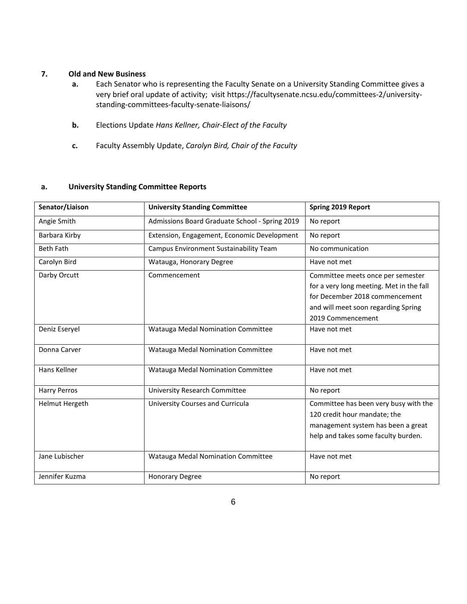### **7. Old and New Business**

- **a.** Each Senator who is representing the Faculty Senate on a University Standing Committee gives a very brief oral update of activity; visit https://facultysenate.ncsu.edu/committees-2/universitystanding-committees-faculty-senate-liaisons/
- **b.** Elections Update *Hans Kellner, Chair-Elect of the Faculty*
- **c.** Faculty Assembly Update, *Carolyn Bird, Chair of the Faculty*

### **a. University Standing Committee Reports**

| Senator/Liaison     | <b>University Standing Committee</b>           | <b>Spring 2019 Report</b>                                                                                                                                                   |
|---------------------|------------------------------------------------|-----------------------------------------------------------------------------------------------------------------------------------------------------------------------------|
| Angie Smith         | Admissions Board Graduate School - Spring 2019 | No report                                                                                                                                                                   |
| Barbara Kirby       | Extension, Engagement, Economic Development    | No report                                                                                                                                                                   |
| <b>Beth Fath</b>    | Campus Environment Sustainability Team         | No communication                                                                                                                                                            |
| Carolyn Bird        | Watauga, Honorary Degree                       | Have not met                                                                                                                                                                |
| Darby Orcutt        | Commencement                                   | Committee meets once per semester<br>for a very long meeting. Met in the fall<br>for December 2018 commencement<br>and will meet soon regarding Spring<br>2019 Commencement |
| Deniz Eseryel       | Watauga Medal Nomination Committee             | Have not met                                                                                                                                                                |
| Donna Carver        | Watauga Medal Nomination Committee             | Have not met                                                                                                                                                                |
| Hans Kellner        | Watauga Medal Nomination Committee             | Have not met                                                                                                                                                                |
| <b>Harry Perros</b> | <b>University Research Committee</b>           | No report                                                                                                                                                                   |
| Helmut Hergeth      | University Courses and Curricula               | Committee has been very busy with the<br>120 credit hour mandate; the<br>management system has been a great<br>help and takes some faculty burden.                          |
| Jane Lubischer      | Watauga Medal Nomination Committee             | Have not met                                                                                                                                                                |
| Jennifer Kuzma      | <b>Honorary Degree</b>                         | No report                                                                                                                                                                   |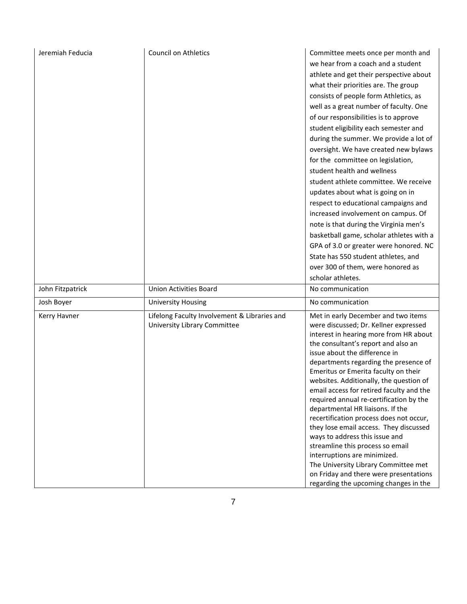| Jeremiah Feducia | <b>Council on Athletics</b>                                                  | Committee meets once per month and<br>we hear from a coach and a student<br>athlete and get their perspective about<br>what their priorities are. The group<br>consists of people form Athletics, as<br>well as a great number of faculty. One<br>of our responsibilities is to approve<br>student eligibility each semester and<br>during the summer. We provide a lot of<br>oversight. We have created new bylaws<br>for the committee on legislation,<br>student health and wellness<br>student athlete committee. We receive<br>updates about what is going on in<br>respect to educational campaigns and<br>increased involvement on campus. Of<br>note is that during the Virginia men's<br>basketball game, scholar athletes with a<br>GPA of 3.0 or greater were honored. NC<br>State has 550 student athletes, and<br>over 300 of them, were honored as<br>scholar athletes. |
|------------------|------------------------------------------------------------------------------|---------------------------------------------------------------------------------------------------------------------------------------------------------------------------------------------------------------------------------------------------------------------------------------------------------------------------------------------------------------------------------------------------------------------------------------------------------------------------------------------------------------------------------------------------------------------------------------------------------------------------------------------------------------------------------------------------------------------------------------------------------------------------------------------------------------------------------------------------------------------------------------|
| John Fitzpatrick | <b>Union Activities Board</b>                                                | No communication                                                                                                                                                                                                                                                                                                                                                                                                                                                                                                                                                                                                                                                                                                                                                                                                                                                                      |
| Josh Boyer       | <b>University Housing</b>                                                    | No communication                                                                                                                                                                                                                                                                                                                                                                                                                                                                                                                                                                                                                                                                                                                                                                                                                                                                      |
| Kerry Havner     | Lifelong Faculty Involvement & Libraries and<br>University Library Committee | Met in early December and two items<br>were discussed; Dr. Kellner expressed<br>interest in hearing more from HR about<br>the consultant's report and also an<br>issue about the difference in<br>departments regarding the presence of<br>Emeritus or Emerita faculty on their<br>websites. Additionally, the question of<br>email access for retired faculty and the<br>required annual re-certification by the<br>departmental HR liaisons. If the<br>recertification process does not occur,<br>they lose email access. They discussed<br>ways to address this issue and<br>streamline this process so email<br>interruptions are minimized.<br>The University Library Committee met<br>on Friday and there were presentations<br>regarding the upcoming changes in the                                                                                                           |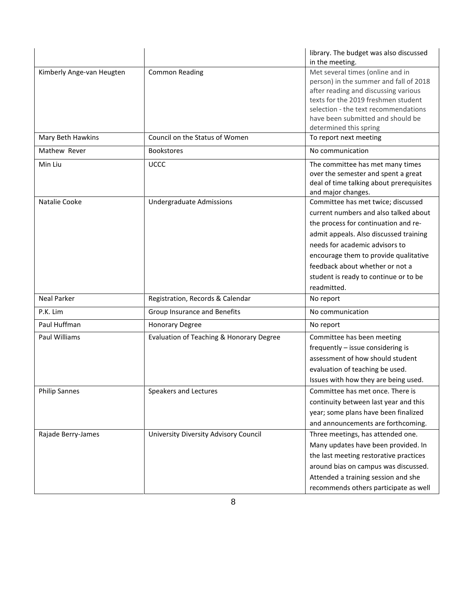|                           |                                          | library. The budget was also discussed<br>in the meeting.                                                                                                                                                                                                                                                                           |
|---------------------------|------------------------------------------|-------------------------------------------------------------------------------------------------------------------------------------------------------------------------------------------------------------------------------------------------------------------------------------------------------------------------------------|
| Kimberly Ange-van Heugten | <b>Common Reading</b>                    | Met several times (online and in<br>person) in the summer and fall of 2018<br>after reading and discussing various<br>texts for the 2019 freshmen student<br>selection - the text recommendations<br>have been submitted and should be<br>determined this spring                                                                    |
| Mary Beth Hawkins         | Council on the Status of Women           | To report next meeting                                                                                                                                                                                                                                                                                                              |
| Mathew Rever              | <b>Bookstores</b>                        | No communication                                                                                                                                                                                                                                                                                                                    |
| Min Liu                   | UCCC                                     | The committee has met many times<br>over the semester and spent a great<br>deal of time talking about prerequisites<br>and major changes.                                                                                                                                                                                           |
| Natalie Cooke             | Undergraduate Admissions                 | Committee has met twice; discussed<br>current numbers and also talked about<br>the process for continuation and re-<br>admit appeals. Also discussed training<br>needs for academic advisors to<br>encourage them to provide qualitative<br>feedback about whether or not a<br>student is ready to continue or to be<br>readmitted. |
| <b>Neal Parker</b>        | Registration, Records & Calendar         | No report                                                                                                                                                                                                                                                                                                                           |
| P.K. Lim                  | Group Insurance and Benefits             | No communication                                                                                                                                                                                                                                                                                                                    |
| Paul Huffman              | <b>Honorary Degree</b>                   | No report                                                                                                                                                                                                                                                                                                                           |
| Paul Williams             | Evaluation of Teaching & Honorary Degree | Committee has been meeting<br>frequently - issue considering is<br>assessment of how should student<br>evaluation of teaching be used.<br>Issues with how they are being used.                                                                                                                                                      |
| <b>Philip Sannes</b>      | Speakers and Lectures                    | Committee has met once. There is<br>continuity between last year and this<br>year; some plans have been finalized<br>and announcements are forthcoming.                                                                                                                                                                             |
| Rajade Berry-James        | University Diversity Advisory Council    | Three meetings, has attended one.<br>Many updates have been provided. In<br>the last meeting restorative practices<br>around bias on campus was discussed.<br>Attended a training session and she<br>recommends others participate as well                                                                                          |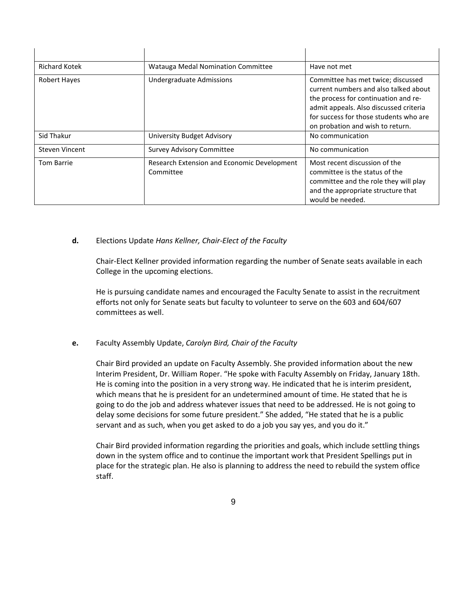| <b>Richard Kotek</b> | Watauga Medal Nomination Committee                       | Have not met                                                                                                                                                                                                                                |
|----------------------|----------------------------------------------------------|---------------------------------------------------------------------------------------------------------------------------------------------------------------------------------------------------------------------------------------------|
| Robert Hayes         | Undergraduate Admissions                                 | Committee has met twice; discussed<br>current numbers and also talked about<br>the process for continuation and re-<br>admit appeals. Also discussed criteria<br>for success for those students who are<br>on probation and wish to return. |
| Sid Thakur           | University Budget Advisory                               | No communication                                                                                                                                                                                                                            |
| Steven Vincent       | <b>Survey Advisory Committee</b>                         | No communication                                                                                                                                                                                                                            |
| <b>Tom Barrie</b>    | Research Extension and Economic Development<br>Committee | Most recent discussion of the<br>committee is the status of the<br>committee and the role they will play<br>and the appropriate structure that<br>would be needed.                                                                          |

 $\mathbf{r}$ 

### **d.** Elections Update *Hans Kellner, Chair-Elect of the Faculty*

 $\mathbf{L}$ 

 $\mathbf{r}$ 

Chair-Elect Kellner provided information regarding the number of Senate seats available in each College in the upcoming elections.

He is pursuing candidate names and encouraged the Faculty Senate to assist in the recruitment efforts not only for Senate seats but faculty to volunteer to serve on the 603 and 604/607 committees as well.

### **e.** Faculty Assembly Update, *Carolyn Bird, Chair of the Faculty*

Chair Bird provided an update on Faculty Assembly. She provided information about the new Interim President, Dr. William Roper. "He spoke with Faculty Assembly on Friday, January 18th. He is coming into the position in a very strong way. He indicated that he is interim president, which means that he is president for an undetermined amount of time. He stated that he is going to do the job and address whatever issues that need to be addressed. He is not going to delay some decisions for some future president." She added, "He stated that he is a public servant and as such, when you get asked to do a job you say yes, and you do it."

Chair Bird provided information regarding the priorities and goals, which include settling things down in the system office and to continue the important work that President Spellings put in place for the strategic plan. He also is planning to address the need to rebuild the system office staff.